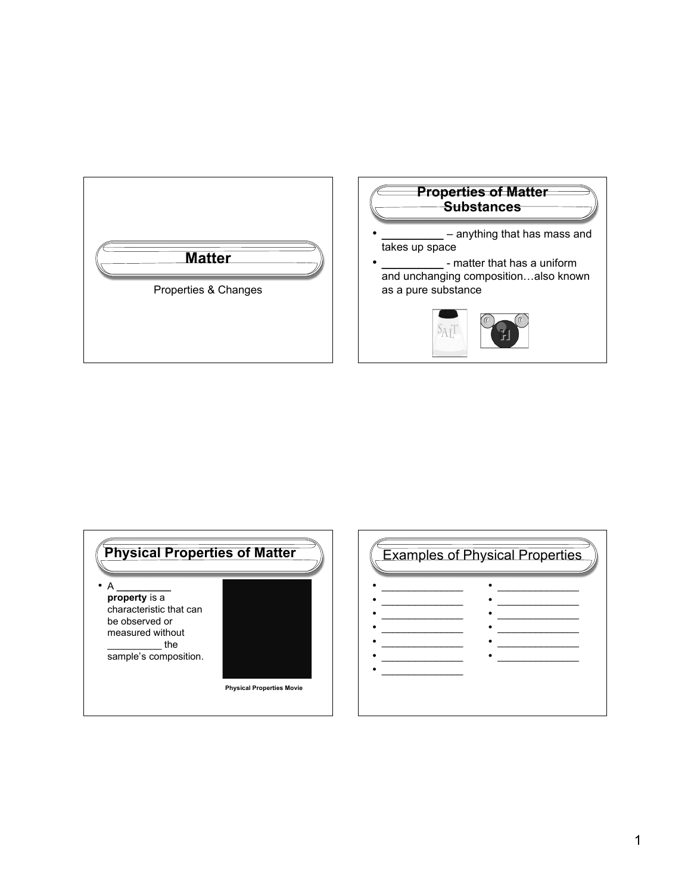



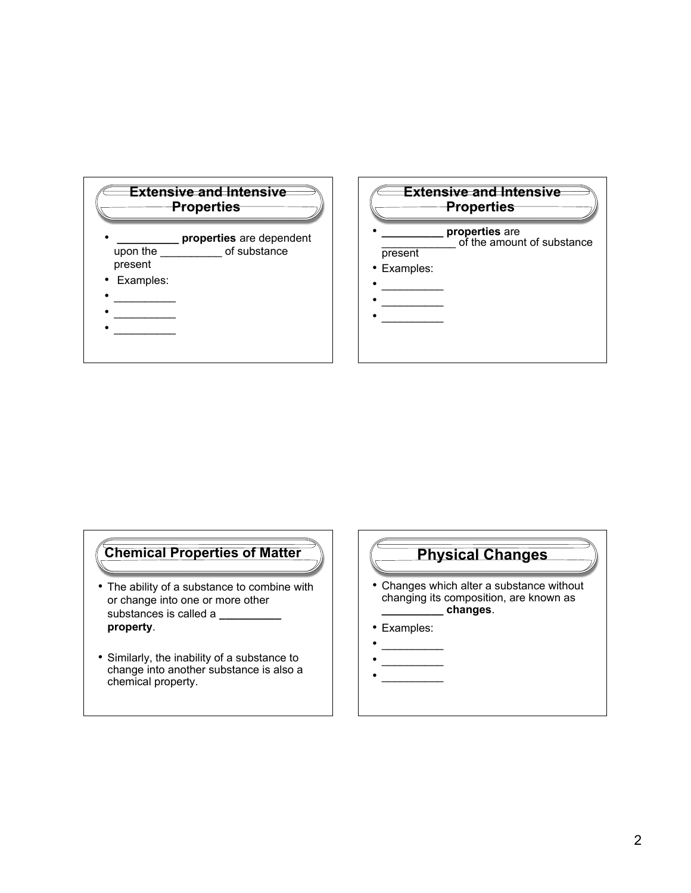

# **Chemical Properties of Matter Physical Changes**

- The ability of a substance to combine with or change into one or more other substances is called a **\_\_\_\_\_\_\_ property**.
- Similarly, the inability of a substance to change into another substance is also a chemical property.

- Changes which alter a substance without changing its composition, are known as **\_\_\_\_\_\_\_\_\_\_ changes**.
- Examples:
- $\frac{1}{2}$
- $\overline{\phantom{a}}$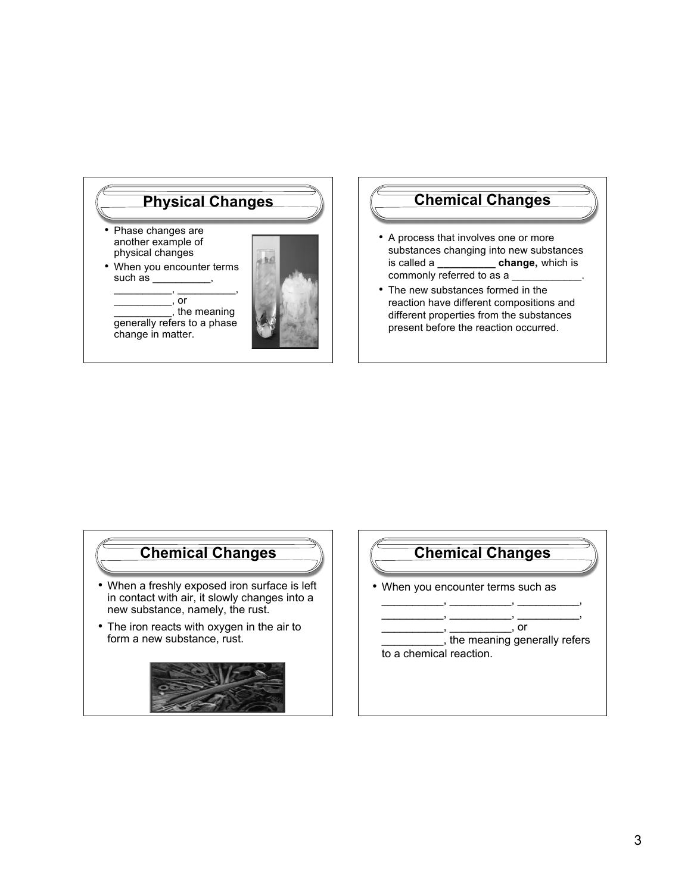

#### **Chemical Changes**

- A process that involves one or more substances changing into new substances is called a **\_\_\_\_\_\_\_\_\_\_ change,** which is commonly referred to as a
- The new substances formed in the reaction have different compositions and different properties from the substances present before the reaction occurred.

## **Chemical Changes**

- When a freshly exposed iron surface is left in contact with air, it slowly changes into a new substance, namely, the rust.
- The iron reacts with oxygen in the air to form a new substance, rust.



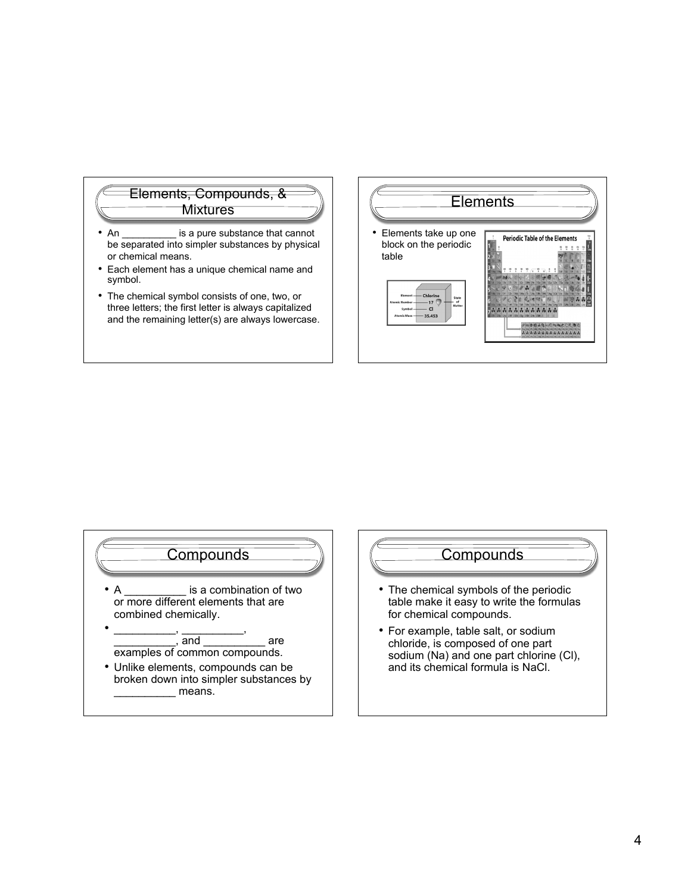

- An \_\_\_\_\_\_\_\_\_\_\_\_ is a pure substance that cannot be separated into simpler substances by physical or chemical means.
- Each element has a unique chemical name and symbol.
- The chemical symbol consists of one, two, or three letters; the first letter is always capitalized and the remaining letter(s) are always lowercase.





• A **butch** is a combination of two or more different elements that are combined chemically.



• Unlike elements, compounds can be broken down into simpler substances by \_\_\_\_\_\_\_\_\_\_ means.



- The chemical symbols of the periodic table make it easy to write the formulas for chemical compounds.
- For example, table salt, or sodium chloride, is composed of one part sodium (Na) and one part chlorine (Cl), and its chemical formula is NaCl.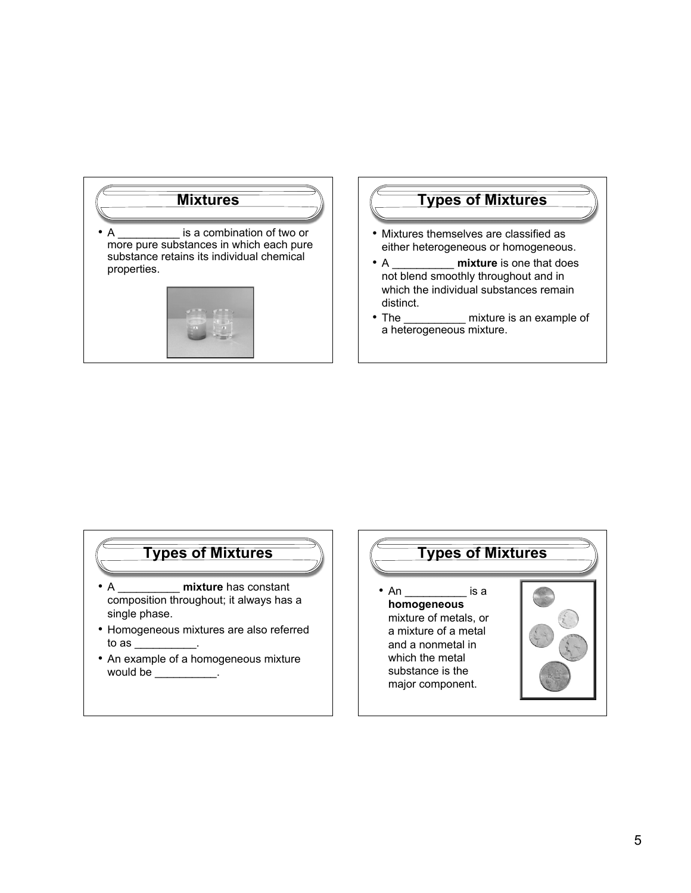

#### **Types of Mixtures**

- Mixtures themselves are classified as either heterogeneous or homogeneous.
- A \_\_\_\_\_\_\_\_\_\_ **mixture** is one that does not blend smoothly throughout and in which the individual substances remain distinct.
- The mixture is an example of a heterogeneous mixture.

#### **Types of Mixtures**

- A \_\_\_\_\_\_\_\_\_\_ **mixture** has constant composition throughout; it always has a single phase.
- Homogeneous mixtures are also referred to as  $\_\_\_\_\_\$ .
- An example of a homogeneous mixture would be  $\qquad \qquad \ldots$

### **Types of Mixtures**

• An \_\_\_\_\_\_\_\_\_\_\_ is a **homogeneous** mixture of metals, or a mixture of a metal and a nonmetal in which the metal substance is the major component.

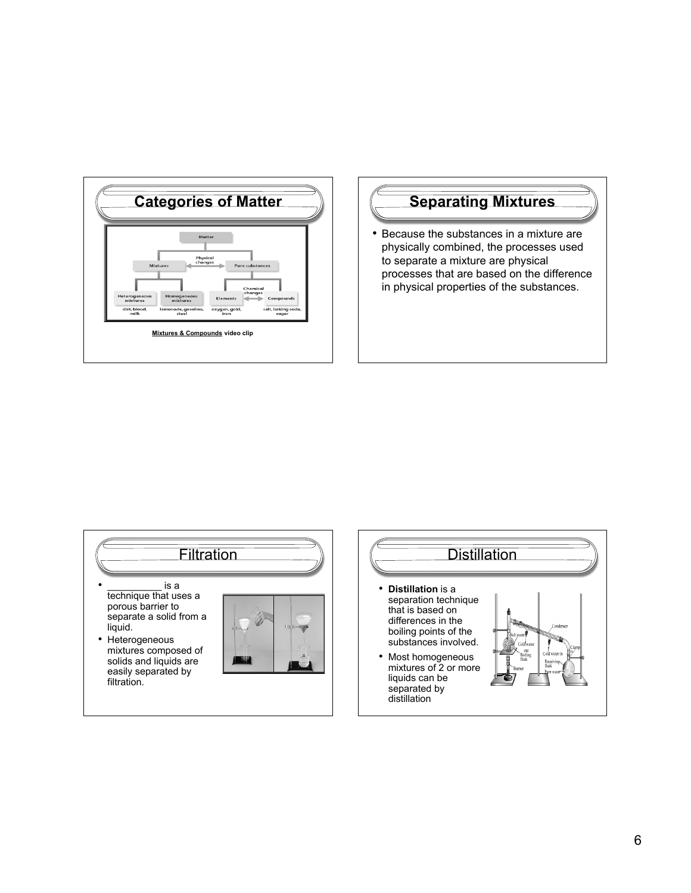

# **Separating Mixtures**

• Because the substances in a mixture are physically combined, the processes used to separate a mixture are physical processes that are based on the difference in physical properties of the substances.

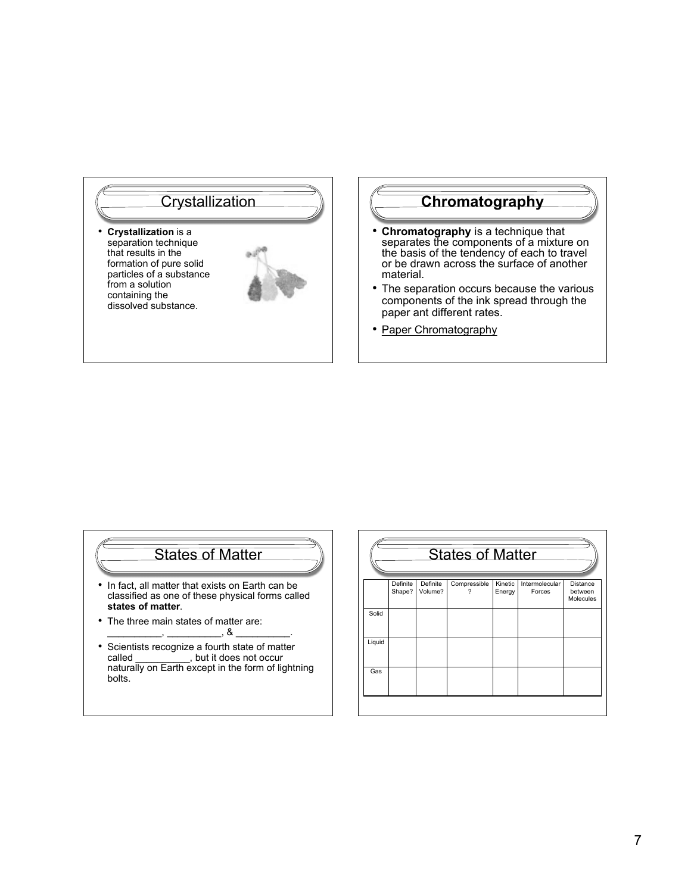

# **Chromatography**

- **Chromatography** is a technique that separates the components of a mixture on the basis of the tendency of each to travel or be drawn across the surface of another material.
- The separation occurs because the various components of the ink spread through the paper ant different rates.
- Paper Chromatography

# States of Matter

- In fact, all matter that exists on Earth can be classified as one of these physical forms called **states of matter**.
- The three main states of matter are:  $\overline{\phantom{a}}$ ,  $\overline{\phantom{a}}$ ,  $\overline{\phantom{a}}$
- Scientists recognize a fourth state of matter called \_\_\_\_\_\_\_\_\_\_, but it does not occur naturally on Earth except in the form of lightning bolts.

| <b>States of Matter</b> |                    |                     |              |                   |                          |                                         |
|-------------------------|--------------------|---------------------|--------------|-------------------|--------------------------|-----------------------------------------|
|                         | Definite<br>Shape? | Definite<br>Volume? | Compressible | Kinetic<br>Energy | Intermolecular<br>Forces | <b>Distance</b><br>between<br>Molecules |
| Solid                   |                    |                     |              |                   |                          |                                         |
| Liquid                  |                    |                     |              |                   |                          |                                         |
| Gas                     |                    |                     |              |                   |                          |                                         |